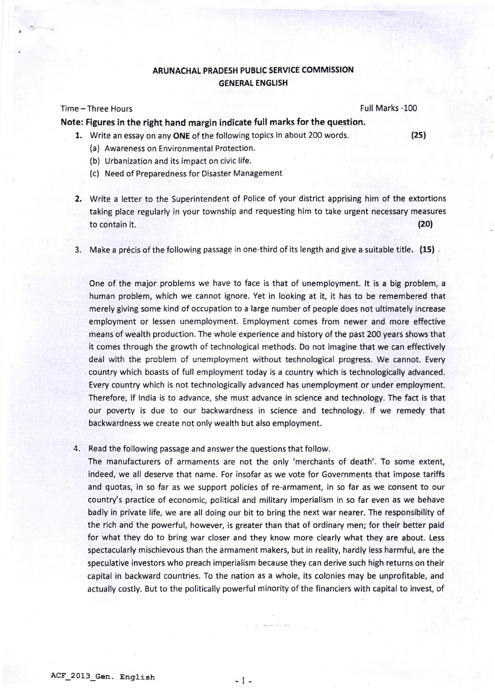## ARUNACHAL PRADESH PUBLIC SERVICE COMMISSION **GENERAL ENGLISH**

## Time - Three Hours Full Marks -100

Note: Figures in the right hand margin indicate full marks for the question.

- 1. Write an essay on any ONE of the following topics in about 200 words. (25)
	- (a) Awareness on Environmental Protection.
	- (b) Urbanization and its impact on civic life.
	- (c) Need of Preparedness for Disaster Management
- 2. Write a letter to the Superintendent of Police of your district apprising him of the extortions taking place regularly in your township and requesting him to take urgent necessary measures to contain it. (20)
- 3. Make a précis of the following passage in one-third of its length and give a suitable title. (15)

One of the major problems we have to face is that of unemployment. It is a big problem, <sup>a</sup> human problem, which we cannot ignore. Yet in looking at it, it has to be remembered that merely giving some kind of occupation to a large number of people does not ultimately increase employment or lessen unemployment. Employment comes from newer and more effective means of wealth production. The whole experience and history of the past 200 years shows that it comes through the growth of technological methods. Do not imagine that we can effectively deal with the problem of unemployment without technological progress. We cannot. Every country which boasts of full employment today is a country which is technologically advanced. Every country which is not technologically advanced has unemployment or under employment. Therefore, if lndia is to advance, she must advance in science and technology. The fact is that our poverty is due to our backwardness in science and technology. lf we remedy that backwardness we create not only wealth but also employment.

4. Read the following passage and answer the questions that follow.

The manufacturers of armaments are not the only 'merchants of death'. To some extent, indeed, we all deserve that name. For insofar as we vote for Governments that impose tariffs and quotas, in so far as we support policies of re-armament, in so far as we consent to our country's practice of economic, political and military imperialism in so far even as we behave badly in private life, we are all doing our bit to bring the next war nearer. The responsibility of the rich and the powerful, however, is greater than that of ordinary men; for their better paid for what they do to bring war closer and they know more clearly what they are about. Less spectacularly mischievous than the armament makers, but in reality, hardly less harmful, are the speculative investors who preach imperialism because they can derive such high returns on their capital in backward countries. To the nation as a whole, its colonies may be unprofitable, and actually costly. But to the politically powerful minority of the financiers with capital to invest, of